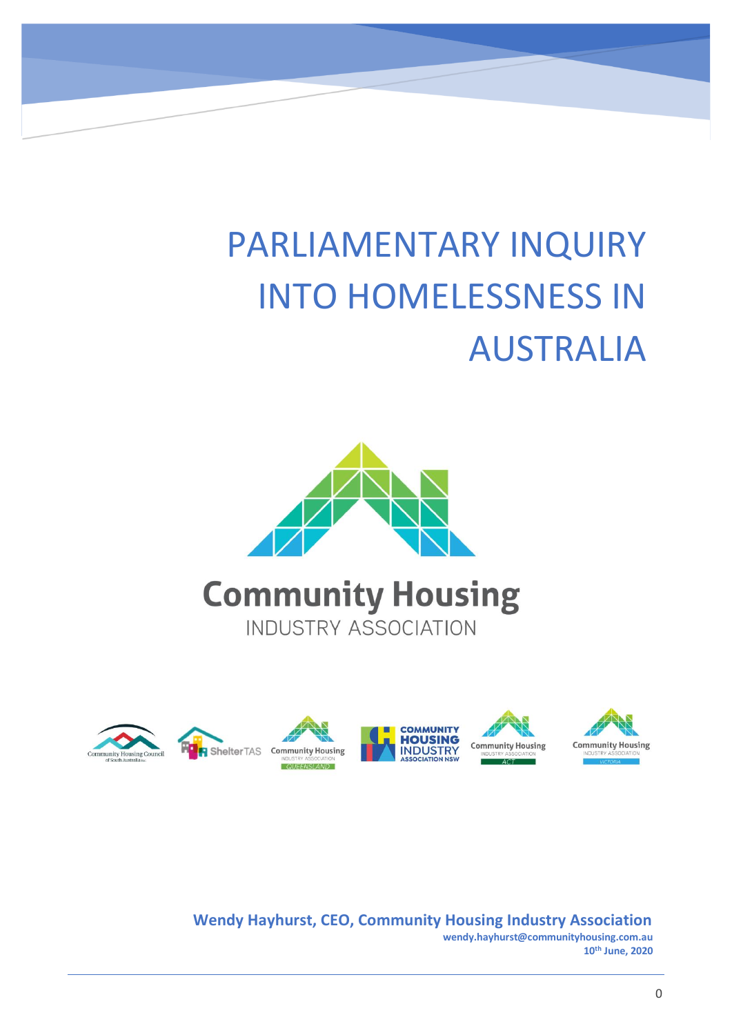# PARLIAMENTARY INQUIRY INTO HOMELESSNESS IN AUSTRALIA





**Wendy Hayhurst, CEO, Community Housing Industry Association wendy.hayhurst@communityhousing.com.au 10th June, 2020**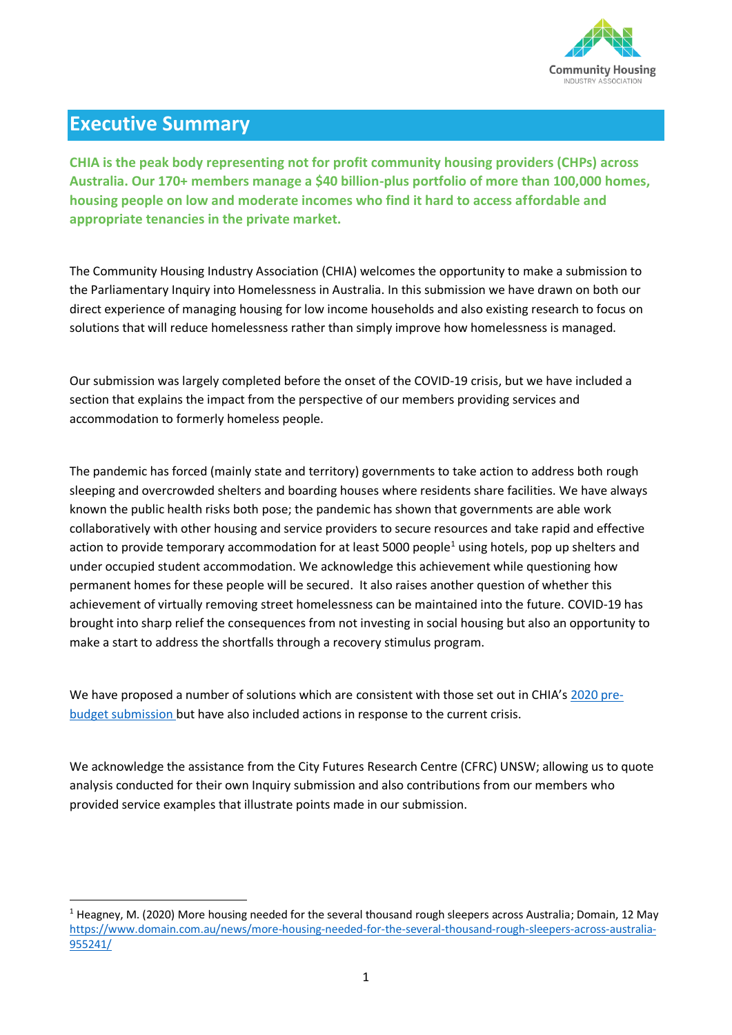

# **Executive Summary**

**CHIA is the peak body representing not for profit community housing providers (CHPs) across Australia. Our 170+ members manage a \$40 billion-plus portfolio of more than 100,000 homes, housing people on low and moderate incomes who find it hard to access affordable and appropriate tenancies in the private market.** 

The Community Housing Industry Association (CHIA) welcomes the opportunity to make a submission to the Parliamentary Inquiry into Homelessness in Australia. In this submission we have drawn on both our direct experience of managing housing for low income households and also existing research to focus on solutions that will reduce homelessness rather than simply improve how homelessness is managed.

Our submission was largely completed before the onset of the COVID-19 crisis, but we have included a section that explains the impact from the perspective of our members providing services and accommodation to formerly homeless people.

The pandemic has forced (mainly state and territory) governments to take action to address both rough sleeping and overcrowded shelters and boarding houses where residents share facilities. We have always known the public health risks both pose; the pandemic has shown that governments are able work collaboratively with other housing and service providers to secure resources and take rapid and effective action to provide temporary accommodation for at least 5000 people<sup>1</sup> using hotels, pop up shelters and under occupied student accommodation. We acknowledge this achievement while questioning how permanent homes for these people will be secured. It also raises another question of whether this achievement of virtually removing street homelessness can be maintained into the future. COVID-19 has brought into sharp relief the consequences from not investing in social housing but also an opportunity to make a start to address the shortfalls through a recovery stimulus program.

We have proposed a number of solutions which are consistent with those set out in CHIA's [2020 pre](https://www.communityhousing.com.au/wp-content/uploads/2020/01/2020-CHIA-Federal-Budget-submission-FINAL-.pdf?x38490)[budget submission](https://www.communityhousing.com.au/wp-content/uploads/2020/01/2020-CHIA-Federal-Budget-submission-FINAL-.pdf?x38490) but have also included actions in response to the current crisis.

We acknowledge the assistance from the City Futures Research Centre (CFRC) UNSW; allowing us to quote analysis conducted for their own Inquiry submission and also contributions from our members who provided service examples that illustrate points made in our submission.

<sup>&</sup>lt;sup>1</sup> Heagney, M. (2020) More housing needed for the several thousand rough sleepers across Australia; Domain, 12 May [https://www.domain.com.au/news/more-housing-needed-for-the-several-thousand-rough-sleepers-across-australia-](https://www.domain.com.au/news/more-housing-needed-for-the-several-thousand-rough-sleepers-across-australia-955241/)[955241/](https://www.domain.com.au/news/more-housing-needed-for-the-several-thousand-rough-sleepers-across-australia-955241/)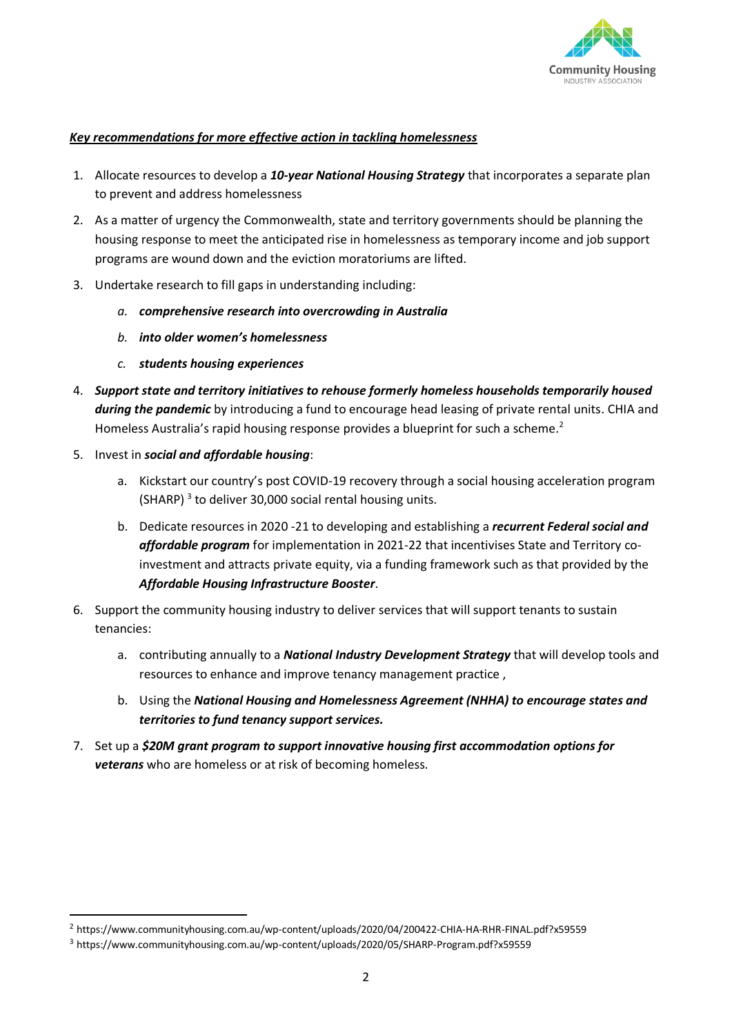

#### *Key recommendations for more effective action in tackling homelessness*

- 1. Allocate resources to develop a *10-year National Housing Strategy* that incorporates a separate plan to prevent and address homelessness
- 2. As a matter of urgency the Commonwealth, state and territory governments should be planning the housing response to meet the anticipated rise in homelessness as temporary income and job support programs are wound down and the eviction moratoriums are lifted.
- 3. Undertake research to fill gaps in understanding including:
	- *a. comprehensive research into overcrowding in Australia*
	- *b. into older women's homelessness*
	- *c. students housing experiences*
- 4. *Support state and territory initiatives to rehouse formerly homeless households temporarily housed during the pandemic* by introducing a fund to encourage head leasing of private rental units. CHIA and Homeless Australia's rapid housing response provides a blueprint for such a scheme.<sup>2</sup>
- 5. Invest in *social and affordable housing*:
	- a. Kickstart our country's post COVID-19 recovery through a social housing acceleration program (SHARP)<sup>3</sup> to deliver 30,000 social rental housing units.
	- b. Dedicate resources in 2020 -21 to developing and establishing a *recurrent Federal social and affordable program* for implementation in 2021-22 that incentivises State and Territory coinvestment and attracts private equity, via a funding framework such as that provided by the *Affordable Housing Infrastructure Booster*.
- 6. Support the community housing industry to deliver services that will support tenants to sustain tenancies:
	- a. contributing annually to a *National Industry Development Strategy* that will develop tools and resources to enhance and improve tenancy management practice ,
	- b. Using the *National Housing and Homelessness Agreement (NHHA) to encourage states and territories to fund tenancy support services.*
- 7. Set up a *\$20M grant program to support innovative housing first accommodation options for veterans* who are homeless or at risk of becoming homeless.

<sup>&</sup>lt;sup>2</sup> https://www.communityhousing.com.au/wp-content/uploads/2020/04/200422-CHIA-HA-RHR-FINAL.pdf?x59559

<sup>3</sup> https://www.communityhousing.com.au/wp-content/uploads/2020/05/SHARP-Program.pdf?x59559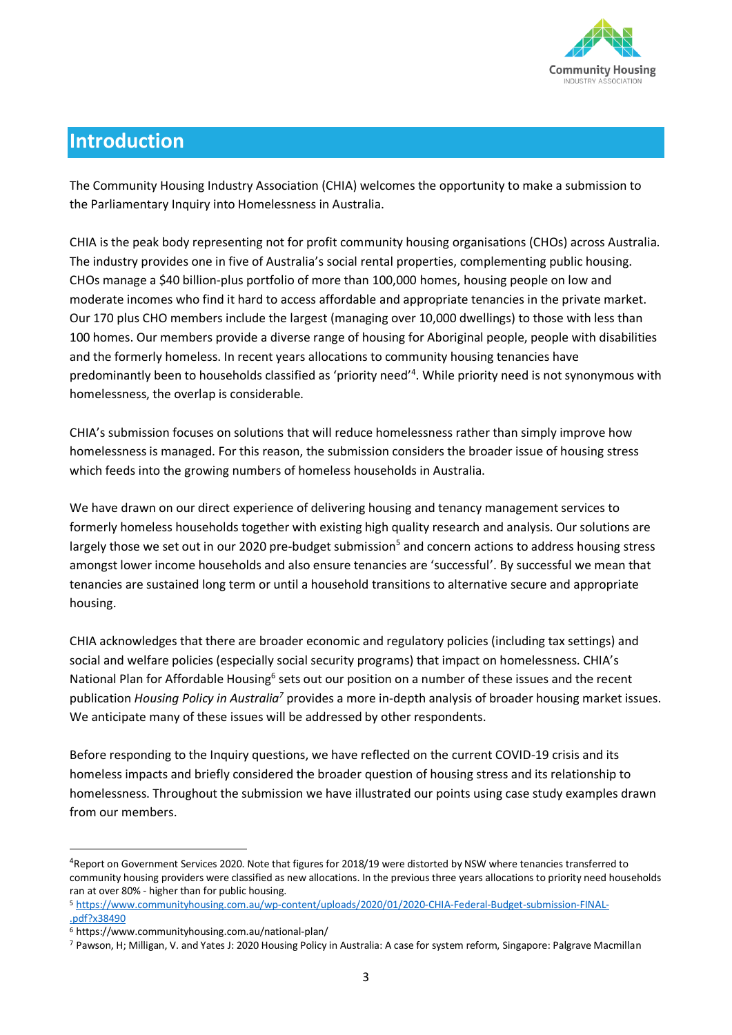

# **Introduction**

The Community Housing Industry Association (CHIA) welcomes the opportunity to make a submission to the Parliamentary Inquiry into Homelessness in Australia.

CHIA is the peak body representing not for profit community housing organisations (CHOs) across Australia. The industry provides one in five of Australia's social rental properties, complementing public housing. CHOs manage a \$40 billion-plus portfolio of more than 100,000 homes, housing people on low and moderate incomes who find it hard to access affordable and appropriate tenancies in the private market. Our 170 plus CHO members include the largest (managing over 10,000 dwellings) to those with less than 100 homes. Our members provide a diverse range of housing for Aboriginal people, people with disabilities and the formerly homeless. In recent years allocations to community housing tenancies have predominantly been to households classified as 'priority need'<sup>4</sup>. While priority need is not synonymous with homelessness, the overlap is considerable.

CHIA's submission focuses on solutions that will reduce homelessness rather than simply improve how homelessness is managed. For this reason, the submission considers the broader issue of housing stress which feeds into the growing numbers of homeless households in Australia.

We have drawn on our direct experience of delivering housing and tenancy management services to formerly homeless households together with existing high quality research and analysis. Our solutions are largely those we set out in our 2020 pre-budget submission<sup>5</sup> and concern actions to address housing stress amongst lower income households and also ensure tenancies are 'successful'. By successful we mean that tenancies are sustained long term or until a household transitions to alternative secure and appropriate housing.

CHIA acknowledges that there are broader economic and regulatory policies (including tax settings) and social and welfare policies (especially social security programs) that impact on homelessness. CHIA's National Plan for Affordable Housing<sup>6</sup> sets out our position on a number of these issues and the recent publication *Housing Policy in Australia<sup>7</sup>* provides a more in-depth analysis of broader housing market issues. We anticipate many of these issues will be addressed by other respondents.

Before responding to the Inquiry questions, we have reflected on the current COVID-19 crisis and its homeless impacts and briefly considered the broader question of housing stress and its relationship to homelessness. Throughout the submission we have illustrated our points using case study examples drawn from our members.

<sup>&</sup>lt;sup>4</sup>Report on Government Services 2020. Note that figures for 2018/19 were distorted by NSW where tenancies transferred to community housing providers were classified as new allocations. In the previous three years allocations to priority need households ran at over 80% - higher than for public housing.

<sup>5</sup> [https://www.communityhousing.com.au/wp-content/uploads/2020/01/2020-CHIA-Federal-Budget-submission-FINAL-](https://www.communityhousing.com.au/wp-content/uploads/2020/01/2020-CHIA-Federal-Budget-submission-FINAL-.pdf?x38490) [.pdf?x38490](https://www.communityhousing.com.au/wp-content/uploads/2020/01/2020-CHIA-Federal-Budget-submission-FINAL-.pdf?x38490)

<sup>6</sup> https://www.communityhousing.com.au/national-plan/

<sup>7</sup> Pawson, H; Milligan, V. and Yates J: 2020 Housing Policy in Australia: A case for system reform, Singapore: Palgrave Macmillan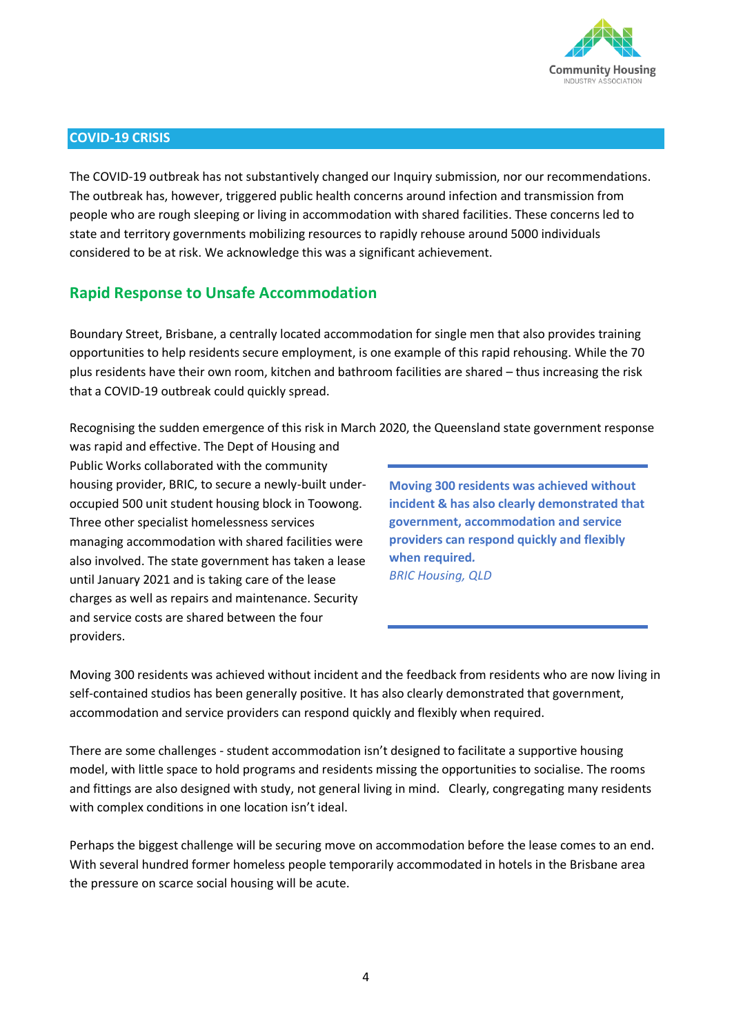

#### **COVID-19 CRISIS**

The COVID-19 outbreak has not substantively changed our Inquiry submission, nor our recommendations. The outbreak has, however, triggered public health concerns around infection and transmission from people who are rough sleeping or living in accommodation with shared facilities. These concerns led to state and territory governments mobilizing resources to rapidly rehouse around 5000 individuals considered to be at risk. We acknowledge this was a significant achievement.

### **Rapid Response to Unsafe Accommodation**

Boundary Street, Brisbane, a centrally located accommodation for single men that also provides training opportunities to help residents secure employment, is one example of this rapid rehousing. While the 70 plus residents have their own room, kitchen and bathroom facilities are shared – thus increasing the risk that a COVID-19 outbreak could quickly spread.

Recognising the sudden emergence of this risk in March 2020, the Queensland state government response

was rapid and effective. The Dept of Housing and Public Works collaborated with the community housing provider, BRIC, to secure a newly-built underoccupied 500 unit student housing block in Toowong. Three other specialist homelessness services managing accommodation with shared facilities were also involved. The state government has taken a lease until January 2021 and is taking care of the lease charges as well as repairs and maintenance. Security and service costs are shared between the four providers.

**Moving 300 residents was achieved without incident & has also clearly demonstrated that government, accommodation and service providers can respond quickly and flexibly when required***. BRIC Housing, QLD*

Moving 300 residents was achieved without incident and the feedback from residents who are now living in self-contained studios has been generally positive. It has also clearly demonstrated that government, accommodation and service providers can respond quickly and flexibly when required.

There are some challenges - student accommodation isn't designed to facilitate a supportive housing model, with little space to hold programs and residents missing the opportunities to socialise. The rooms and fittings are also designed with study, not general living in mind. Clearly, congregating many residents with complex conditions in one location isn't ideal.

Perhaps the biggest challenge will be securing move on accommodation before the lease comes to an end. With several hundred former homeless people temporarily accommodated in hotels in the Brisbane area the pressure on scarce social housing will be acute.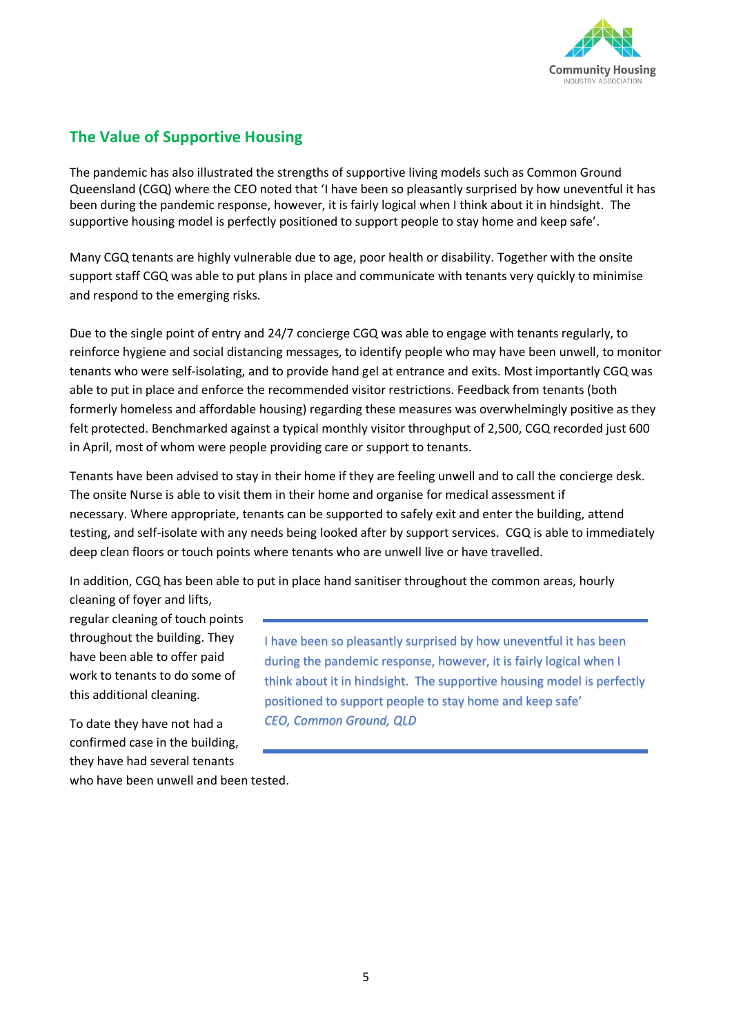

## **The Value of Supportive Housing**

The pandemic has also illustrated the strengths of supportive living models such as Common Ground Queensland (CGQ) where the CEO noted that 'I have been so pleasantly surprised by how uneventful it has been during the pandemic response, however, it is fairly logical when I think about it in hindsight. The supportive housing model is perfectly positioned to support people to stay home and keep safe'.

Many CGQ tenants are highly vulnerable due to age, poor health or disability. Together with the onsite support staff CGQ was able to put plans in place and communicate with tenants very quickly to minimise and respond to the emerging risks.

Due to the single point of entry and 24/7 concierge CGQ was able to engage with tenants regularly, to reinforce hygiene and social distancing messages, to identify people who may have been unwell, to monitor tenants who were self-isolating, and to provide hand gel at entrance and exits. Most importantly CGQ was able to put in place and enforce the recommended visitor restrictions. Feedback from tenants (both formerly homeless and affordable housing) regarding these measures was overwhelmingly positive as they felt protected. Benchmarked against a typical monthly visitor throughput of 2,500, CGQ recorded just 600 in April, most of whom were people providing care or support to tenants.

Tenants have been advised to stay in their home if they are feeling unwell and to call the concierge desk. The onsite Nurse is able to visit them in their home and organise for medical assessment if necessary. Where appropriate, tenants can be supported to safely exit and enter the building, attend testing, and self-isolate with any needs being looked after by support services. CGQ is able to immediately deep clean floors or touch points where tenants who are unwell live or have travelled.

In addition, CGQ has been able to put in place hand sanitiser throughout the common areas, hourly cleaning of foyer and lifts,

regular cleaning of touch points throughout the building. They have been able to offer paid work to tenants to do some of this additional cleaning.

To date they have not had a confirmed case in the building, they have had several tenants who have been unwell and been tested.

I have been so pleasantly surprised by how uneventful it has been during the pandemic response, however, it is fairly logical when I think about it in hindsight. The supportive housing model is perfectly positioned to support people to stay home and keep safe' *CEO, Common Ground, QLD*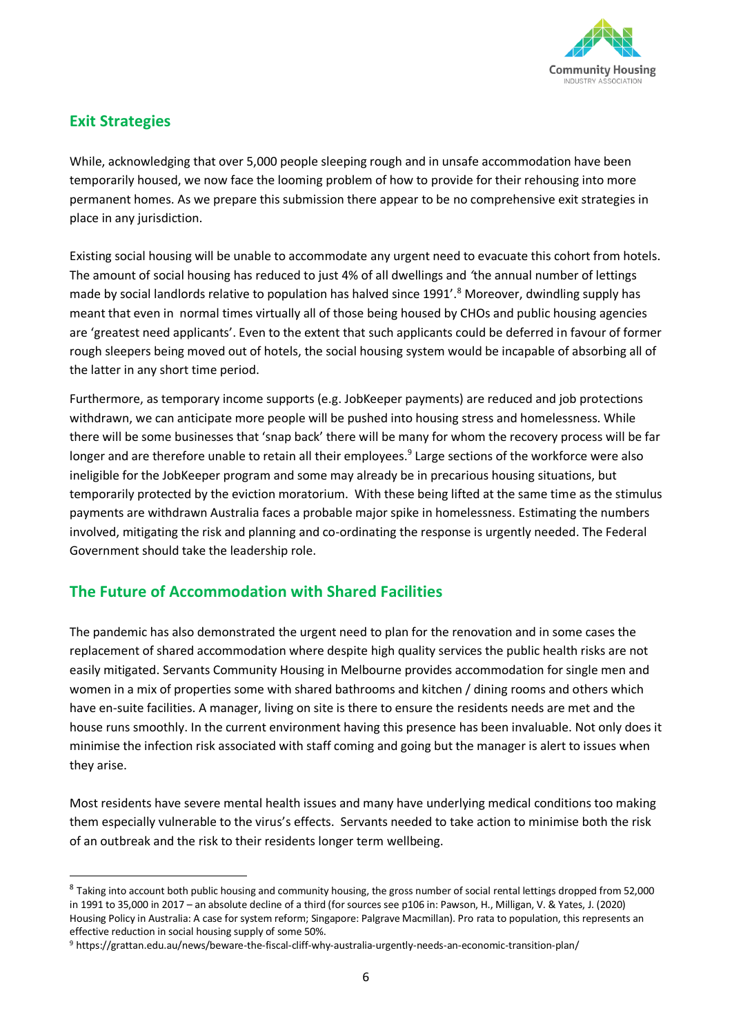

# **Exit Strategies**

While, acknowledging that over 5,000 people sleeping rough and in unsafe accommodation have been temporarily housed, we now face the looming problem of how to provide for their rehousing into more permanent homes. As we prepare this submission there appear to be no comprehensive exit strategies in place in any jurisdiction.

Existing social housing will be unable to accommodate any urgent need to evacuate this cohort from hotels. The amount of social housing has reduced to just 4% of all dwellings and *'*the annual number of lettings made by social landlords relative to population has halved since 1991'.<sup>8</sup> Moreover, dwindling supply has meant that even in normal times virtually all of those being housed by CHOs and public housing agencies are 'greatest need applicants'. Even to the extent that such applicants could be deferred in favour of former rough sleepers being moved out of hotels, the social housing system would be incapable of absorbing all of the latter in any short time period.

Furthermore, as temporary income supports (e.g. JobKeeper payments) are reduced and job protections withdrawn, we can anticipate more people will be pushed into housing stress and homelessness. While there will be some businesses that 'snap back' there will be many for whom the recovery process will be far longer and are therefore unable to retain all their employees.<sup>9</sup> Large sections of the workforce were also ineligible for the JobKeeper program and some may already be in precarious housing situations, but temporarily protected by the eviction moratorium. With these being lifted at the same time as the stimulus payments are withdrawn Australia faces a probable major spike in homelessness. Estimating the numbers involved, mitigating the risk and planning and co-ordinating the response is urgently needed. The Federal Government should take the leadership role.

## **The Future of Accommodation with Shared Facilities**

The pandemic has also demonstrated the urgent need to plan for the renovation and in some cases the replacement of shared accommodation where despite high quality services the public health risks are not easily mitigated. Servants Community Housing in Melbourne provides accommodation for single men and women in a mix of properties some with shared bathrooms and kitchen / dining rooms and others which have en-suite facilities. A manager, living on site is there to ensure the residents needs are met and the house runs smoothly. In the current environment having this presence has been invaluable. Not only does it minimise the infection risk associated with staff coming and going but the manager is alert to issues when they arise.

Most residents have severe mental health issues and many have underlying medical conditions too making them especially vulnerable to the virus's effects. Servants needed to take action to minimise both the risk of an outbreak and the risk to their residents longer term wellbeing.

<sup>&</sup>lt;sup>8</sup> Taking into account both public housing and community housing, the gross number of social rental lettings dropped from 52,000 in 1991 to 35,000 in 2017 – an absolute decline of a third (for sources see p106 in: Pawson, H., Milligan, V. & Yates, J. (2020) Housing Policy in Australia: A case for system reform; Singapore: Palgrave Macmillan). Pro rata to population, this represents an effective reduction in social housing supply of some 50%.

<sup>9</sup> https://grattan.edu.au/news/beware-the-fiscal-cliff-why-australia-urgently-needs-an-economic-transition-plan/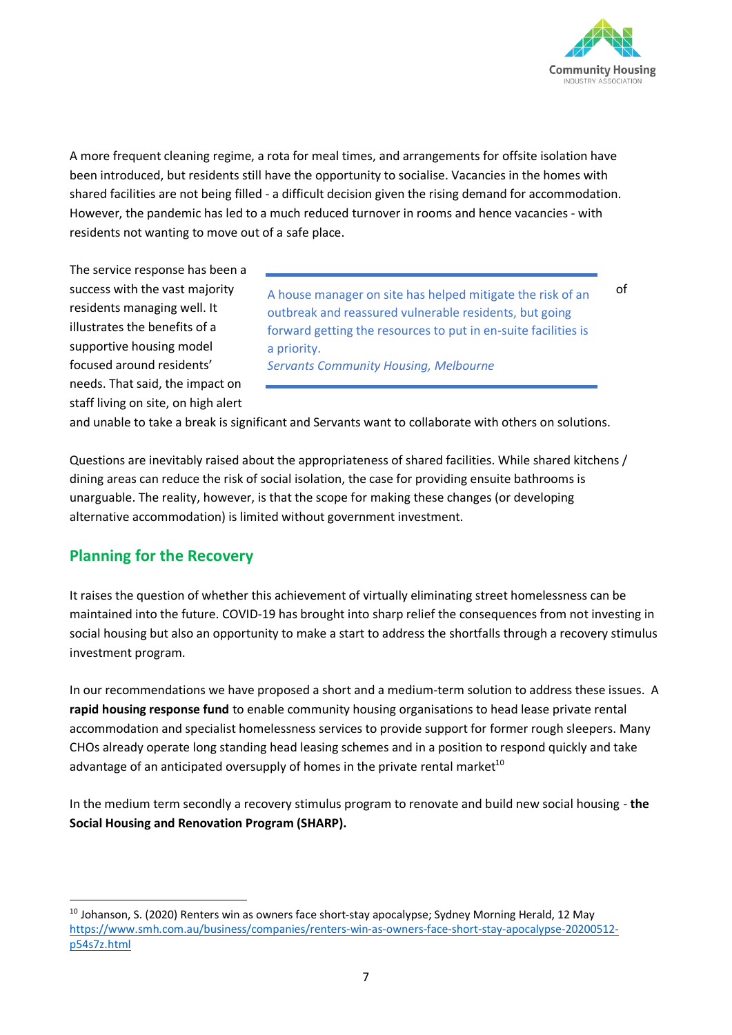

A more frequent cleaning regime, a rota for meal times, and arrangements for offsite isolation have been introduced, but residents still have the opportunity to socialise. Vacancies in the homes with shared facilities are not being filled - a difficult decision given the rising demand for accommodation. However, the pandemic has led to a much reduced turnover in rooms and hence vacancies - with residents not wanting to move out of a safe place.

The service response has been a residents managing well. It illustrates the benefits of a supportive housing model focused around residents' needs. That said, the impact on staff living on site, on high alert

success with the vast majority  $A$  house manager on site has helped mitigate the risk of an of outbreak and reassured vulnerable residents, but going forward getting the resources to put in en-suite facilities is a priority. *Servants Community Housing, Melbourne*

and unable to take a break is significant and Servants want to collaborate with others on solutions.

Questions are inevitably raised about the appropriateness of shared facilities. While shared kitchens / dining areas can reduce the risk of social isolation, the case for providing ensuite bathrooms is unarguable. The reality, however, is that the scope for making these changes (or developing alternative accommodation) is limited without government investment.

#### **Planning for the Recovery**

It raises the question of whether this achievement of virtually eliminating street homelessness can be maintained into the future. COVID-19 has brought into sharp relief the consequences from not investing in social housing but also an opportunity to make a start to address the shortfalls through a recovery stimulus investment program.

In our recommendations we have proposed a short and a medium-term solution to address these issues. A **rapid housing response fund** to enable community housing organisations to head lease private rental accommodation and specialist homelessness services to provide support for former rough sleepers. Many CHOs already operate long standing head leasing schemes and in a position to respond quickly and take advantage of an anticipated oversupply of homes in the private rental market<sup>10</sup>

In the medium term secondly a recovery stimulus program to renovate and build new social housing - **the Social Housing and Renovation Program (SHARP).** 

<sup>&</sup>lt;sup>10</sup> Johanson, S. (2020) Renters win as owners face short-stay apocalypse; Sydney Morning Herald, 12 May [https://www.smh.com.au/business/companies/renters-win-as-owners-face-short-stay-apocalypse-20200512](https://www.smh.com.au/business/companies/renters-win-as-owners-face-short-stay-apocalypse-20200512-p54s7z.html) [p54s7z.html](https://www.smh.com.au/business/companies/renters-win-as-owners-face-short-stay-apocalypse-20200512-p54s7z.html)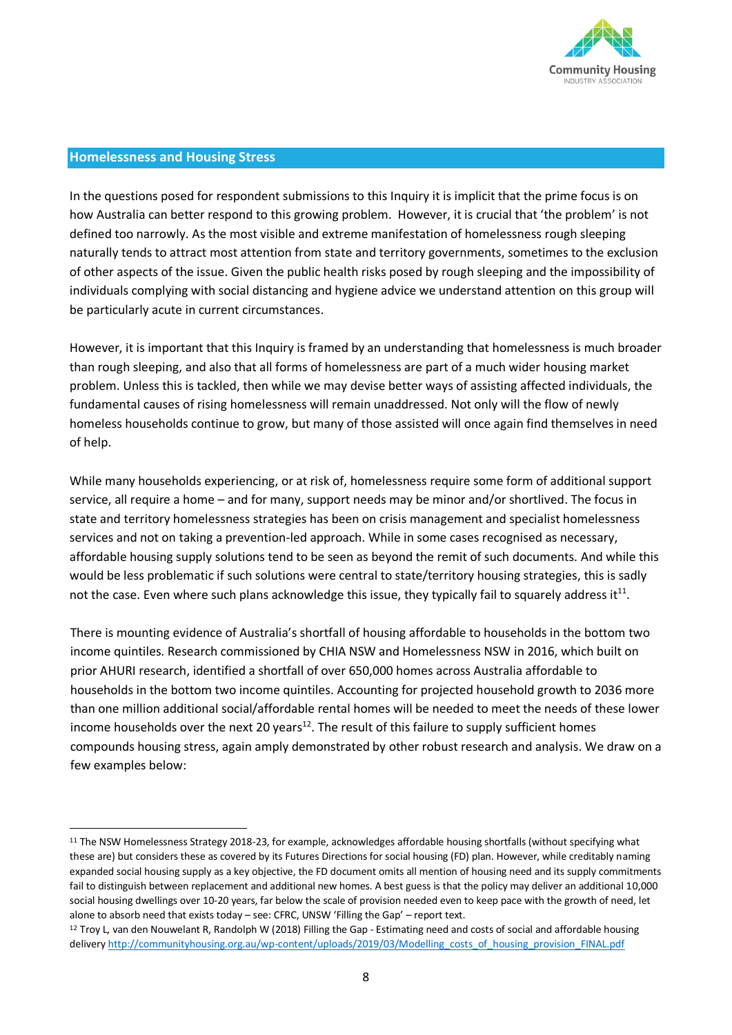

#### **Homelessness and Housing Stress**

In the questions posed for respondent submissions to this Inquiry it is implicit that the prime focus is on how Australia can better respond to this growing problem. However, it is crucial that 'the problem' is not defined too narrowly. As the most visible and extreme manifestation of homelessness rough sleeping naturally tends to attract most attention from state and territory governments, sometimes to the exclusion of other aspects of the issue. Given the public health risks posed by rough sleeping and the impossibility of individuals complying with social distancing and hygiene advice we understand attention on this group will be particularly acute in current circumstances.

However, it is important that this Inquiry is framed by an understanding that homelessness is much broader than rough sleeping, and also that all forms of homelessness are part of a much wider housing market problem. Unless this is tackled, then while we may devise better ways of assisting affected individuals, the fundamental causes of rising homelessness will remain unaddressed. Not only will the flow of newly homeless households continue to grow, but many of those assisted will once again find themselves in need of help.

While many households experiencing, or at risk of, homelessness require some form of additional support service, all require a home – and for many, support needs may be minor and/or shortlived. The focus in state and territory homelessness strategies has been on crisis management and specialist homelessness services and not on taking a prevention-led approach. While in some cases recognised as necessary, affordable housing supply solutions tend to be seen as beyond the remit of such documents. And while this would be less problematic if such solutions were central to state/territory housing strategies, this is sadly not the case. Even where such plans acknowledge this issue, they typically fail to squarely address it<sup>11</sup>.

There is mounting evidence of Australia's shortfall of housing affordable to households in the bottom two income quintiles. Research commissioned by CHIA NSW and Homelessness NSW in 2016, which built on prior AHURI research, identified a shortfall of over 650,000 homes across Australia affordable to households in the bottom two income quintiles. Accounting for projected household growth to 2036 more than one million additional social/affordable rental homes will be needed to meet the needs of these lower income households over the next 20 years<sup>12</sup>. The result of this failure to supply sufficient homes compounds housing stress, again amply demonstrated by other robust research and analysis. We draw on a few examples below:

<sup>&</sup>lt;sup>11</sup> The NSW Homelessness Strategy 2018-23, for example, acknowledges affordable housing shortfalls (without specifying what these are) but considers these as covered by its Futures Directions for social housing (FD) plan. However, while creditably naming expanded social housing supply as a key objective, the FD document omits all mention of housing need and its supply commitments fail to distinguish between replacement and additional new homes. A best guess is that the policy may deliver an additional 10,000 social housing dwellings over 10-20 years, far below the scale of provision needed even to keep pace with the growth of need, let alone to absorb need that exists today – see: CFRC, UNSW 'Filling the Gap' – report text.

<sup>&</sup>lt;sup>12</sup> Troy L, van den Nouwelant R, Randolph W (2018) Filling the Gap - Estimating need and costs of social and affordable housing delivery http://communityhousing.org.au/wp-content/uploads/2019/03/Modelling\_costs\_of\_housing\_provision\_FINAL.pdf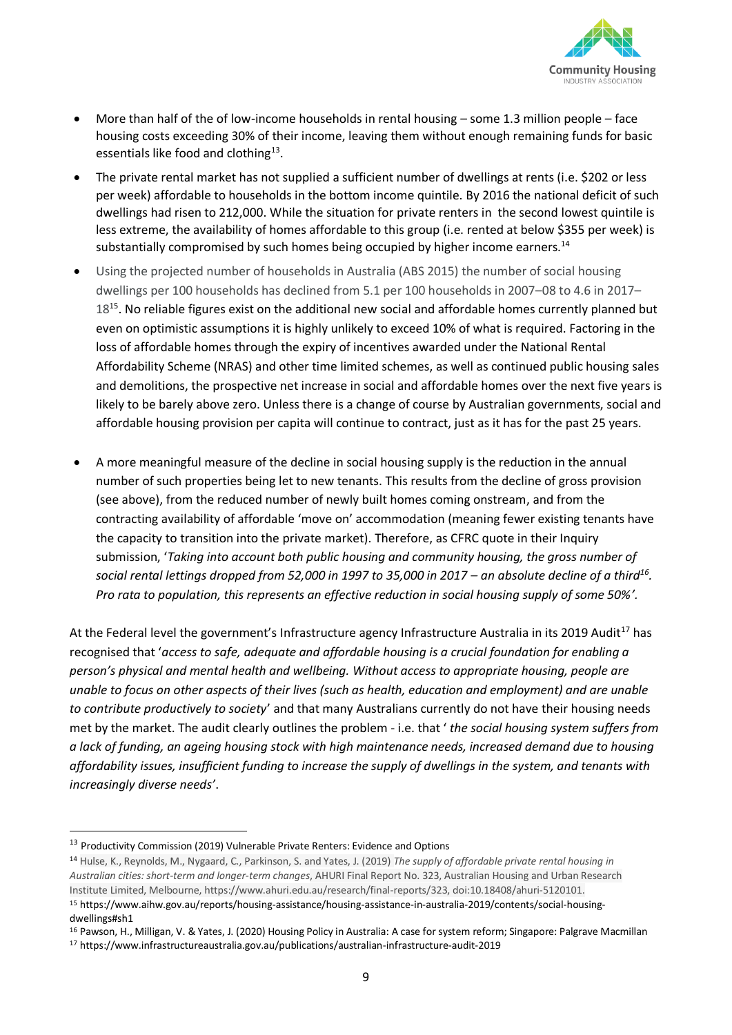

- More than half of the of low-income households in rental housing some 1.3 million people face housing costs exceeding 30% of their income, leaving them without enough remaining funds for basic essentials like food and clothing<sup>13</sup>.
- The private rental market has not supplied a sufficient number of dwellings at rents (i.e. \$202 or less per week) affordable to households in the bottom income quintile. By 2016 the national deficit of such dwellings had risen to 212,000. While the situation for private renters in the second lowest quintile is less extreme, the availability of homes affordable to this group (i.e. rented at below \$355 per week) is substantially compromised by such homes being occupied by higher income earners.<sup>14</sup>
- Using the projected number of households in Australia (ABS 2015) the number of social housing dwellings per 100 households has declined from 5.1 per 100 households in 2007–08 to 4.6 in 2017– 18<sup>15</sup>. No reliable figures exist on the additional new social and affordable homes currently planned but even on optimistic assumptions it is highly unlikely to exceed 10% of what is required. Factoring in the loss of affordable homes through the expiry of incentives awarded under the National Rental Affordability Scheme (NRAS) and other time limited schemes, as well as continued public housing sales and demolitions, the prospective net increase in social and affordable homes over the next five years is likely to be barely above zero. Unless there is a change of course by Australian governments, social and affordable housing provision per capita will continue to contract, just as it has for the past 25 years.
- A more meaningful measure of the decline in social housing supply is the reduction in the annual number of such properties being let to new tenants. This results from the decline of gross provision (see above), from the reduced number of newly built homes coming onstream, and from the contracting availability of affordable 'move on' accommodation (meaning fewer existing tenants have the capacity to transition into the private market). Therefore, as CFRC quote in their Inquiry submission, '*Taking into account both public housing and community housing, the gross number of*  social rental lettings dropped from 52,000 in 1997 to 35,000 in 2017 – an absolute decline of a third<sup>16</sup>. *Pro rata to population, this represents an effective reduction in social housing supply of some 50%'.*

At the Federal level the government's Infrastructure agency Infrastructure Australia in its 2019 Audit<sup>17</sup> has recognised that '*access to safe, adequate and affordable housing is a crucial foundation for enabling a person's physical and mental health and wellbeing. Without access to appropriate housing, people are unable to focus on other aspects of their lives (such as health, education and employment) and are unable to contribute productively to society*' and that many Australians currently do not have their housing needs met by the market. The audit clearly outlines the problem - i.e. that ' *the social housing system suffers from a lack of funding, an ageing housing stock with high maintenance needs, increased demand due to housing affordability issues, insufficient funding to increase the supply of dwellings in the system, and tenants with increasingly diverse needs'*.

<sup>&</sup>lt;sup>13</sup> Productivity Commission (2019) Vulnerable Private Renters: Evidence and Options

<sup>14</sup> Hulse, K., Reynolds, M., Nygaard, C., Parkinson, S. and Yates, J. (2019) *The supply of affordable private rental housing in Australian cities: short-term and longer-term changes*, AHURI Final Report No. 323, Australian Housing and Urban Research Institute Limited, Melbourne, https://www.ahuri.edu.au/research/final-reports/323, doi:10.18408/ahuri-5120101.

<sup>15</sup> https://www.aihw.gov.au/reports/housing-assistance/housing-assistance-in-australia-2019/contents/social-housingdwellings#sh1

<sup>16</sup> Pawson, H., Milligan, V. & Yates, J. (2020) Housing Policy in Australia: A case for system reform; Singapore: Palgrave Macmillan <sup>17</sup> https://www.infrastructureaustralia.gov.au/publications/australian-infrastructure-audit-2019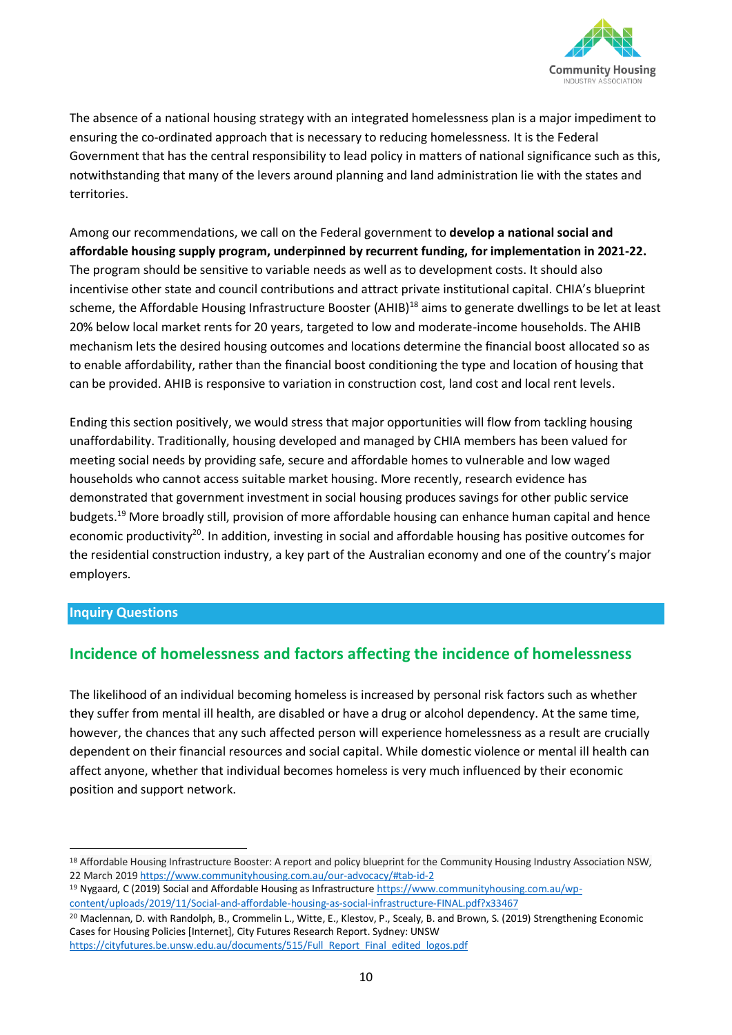

The absence of a national housing strategy with an integrated homelessness plan is a major impediment to ensuring the co-ordinated approach that is necessary to reducing homelessness. It is the Federal Government that has the central responsibility to lead policy in matters of national significance such as this, notwithstanding that many of the levers around planning and land administration lie with the states and territories.

Among our recommendations, we call on the Federal government to **develop a national social and affordable housing supply program, underpinned by recurrent funding, for implementation in 2021-22.**  The program should be sensitive to variable needs as well as to development costs. It should also incentivise other state and council contributions and attract private institutional capital. CHIA's blueprint scheme, the Affordable Housing Infrastructure Booster (AHIB)<sup>18</sup> aims to generate dwellings to be let at least 20% below local market rents for 20 years, targeted to low and moderate-income households. The AHIB mechanism lets the desired housing outcomes and locations determine the financial boost allocated so as to enable affordability, rather than the financial boost conditioning the type and location of housing that can be provided. AHIB is responsive to variation in construction cost, land cost and local rent levels.

Ending this section positively, we would stress that major opportunities will flow from tackling housing unaffordability. Traditionally, housing developed and managed by CHIA members has been valued for meeting social needs by providing safe, secure and affordable homes to vulnerable and low waged households who cannot access suitable market housing. More recently, research evidence has demonstrated that government investment in social housing produces savings for other public service budgets.<sup>19</sup> More broadly still, provision of more affordable housing can enhance human capital and hence economic productivity<sup>20</sup>. In addition, investing in social and affordable housing has positive outcomes for the residential construction industry, a key part of the Australian economy and one of the country's major employers.

#### **Inquiry Questions**

## **Incidence of homelessness and factors affecting the incidence of homelessness**

The likelihood of an individual becoming homeless is increased by personal risk factors such as whether they suffer from mental ill health, are disabled or have a drug or alcohol dependency. At the same time, however, the chances that any such affected person will experience homelessness as a result are crucially dependent on their financial resources and social capital. While domestic violence or mental ill health can affect anyone, whether that individual becomes homeless is very much influenced by their economic position and support network.

<sup>20</sup> Maclennan, D. with Randolph, B., Crommelin L., Witte, E., Klestov, P., Scealy, B. and Brown, S. (2019) Strengthening Economic Cases for Housing Policies [Internet], City Futures Research Report. Sydney: UNSW [https://cityfutures.be.unsw.edu.au/documents/515/Full\\_Report\\_Final\\_edited\\_logos.pdf](https://cityfutures.be.unsw.edu.au/documents/515/Full_Report_Final_edited_logos.pdf)

<sup>18</sup> Affordable Housing Infrastructure Booster: A report and policy blueprint for the Community Housing Industry Association NSW, 22 March 2019 <https://www.communityhousing.com.au/our-advocacy/#tab-id-2>

<sup>&</sup>lt;sup>19</sup> Nygaard, C (2019) Social and Affordable Housing as Infrastructure https://www.communityhousing.com.au/wpcontent/uploads/2019/11/Social-and-affordable-housing-as-social-infrastructure-FINAL.pdf?x33467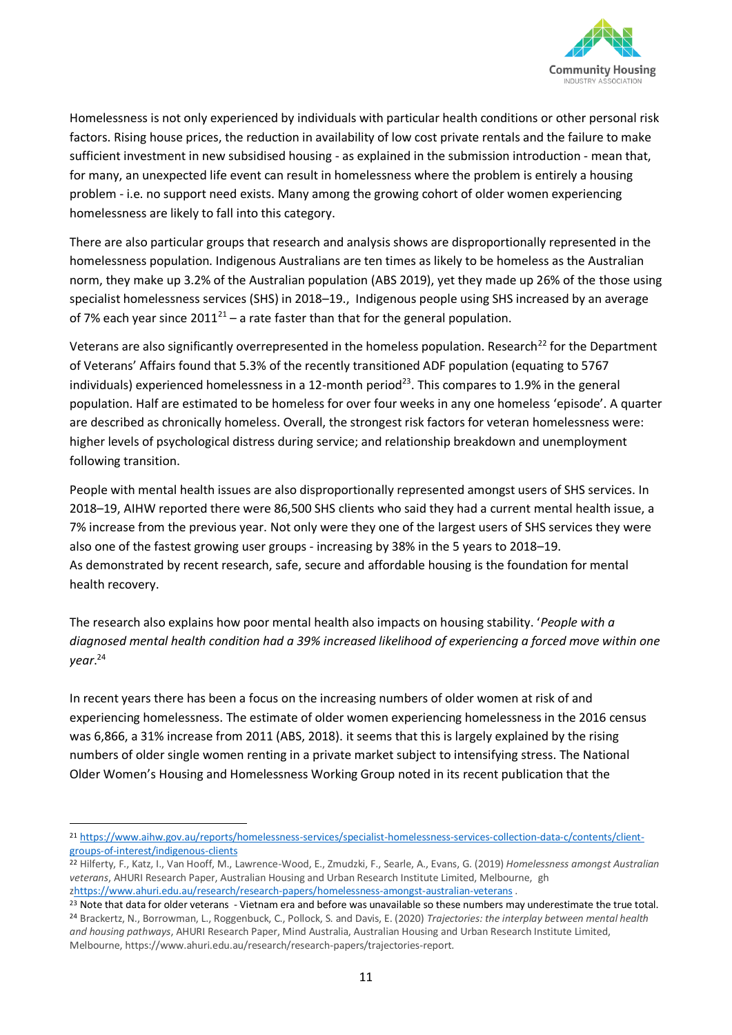

Homelessness is not only experienced by individuals with particular health conditions or other personal risk factors. Rising house prices, the reduction in availability of low cost private rentals and the failure to make sufficient investment in new subsidised housing - as explained in the submission introduction - mean that, for many, an unexpected life event can result in homelessness where the problem is entirely a housing problem - i.e. no support need exists. Many among the growing cohort of older women experiencing homelessness are likely to fall into this category.

There are also particular groups that research and analysis shows are disproportionally represented in the homelessness population. Indigenous Australians are ten times as likely to be homeless as the Australian norm, they make up 3.2% of the Australian population (ABS 2019), yet they made up 26% of the those using specialist homelessness services (SHS) in 2018–19., Indigenous people using SHS increased by an average of 7% each year since  $2011^{21}$  – a rate faster than that for the general population.

Veterans are also significantly overrepresented in the homeless population. Research<sup>22</sup> for the Department of Veterans' Affairs found that 5.3% of the recently transitioned ADF population (equating to 5767 individuals) experienced homelessness in a 12-month period<sup>23</sup>. This compares to 1.9% in the general population. Half are estimated to be homeless for over four weeks in any one homeless 'episode'. A quarter are described as chronically homeless. Overall, the strongest risk factors for veteran homelessness were: higher levels of psychological distress during service; and relationship breakdown and unemployment following transition.

People with mental health issues are also disproportionally represented amongst users of SHS services. In 2018–19, AIHW reported there were 86,500 SHS clients who said they had a current mental health issue, a 7% increase from the previous year. Not only were they one of the largest users of SHS services they were also one of the fastest growing user groups - increasing by 38% in the 5 years to 2018–19. As demonstrated by recent research, safe, secure and affordable housing is the foundation for mental health recovery.

The research also explains how poor mental health also impacts on housing stability. '*People with a diagnosed mental health condition had a 39% increased likelihood of experiencing a forced move within one year*. 24

In recent years there has been a focus on the increasing numbers of older women at risk of and experiencing homelessness. The estimate of older women experiencing homelessness in the 2016 census was 6,866, a 31% increase from 2011 (ABS, 2018). it seems that this is largely explained by the rising numbers of older single women renting in a private market subject to intensifying stress. The National Older Women's Housing and Homelessness Working Group noted in its recent publication that the

<sup>21</sup> [https://www.aihw.gov.au/reports/homelessness-services/specialist-homelessness-services-collection-data-c/contents/client](https://www.aihw.gov.au/reports/homelessness-services/specialist-homelessness-services-collection-data-c/contents/client-groups-of-interest/indigenous-clients)[groups-of-interest/indigenous-clients](https://www.aihw.gov.au/reports/homelessness-services/specialist-homelessness-services-collection-data-c/contents/client-groups-of-interest/indigenous-clients)

<sup>22</sup> Hilferty, F., Katz, I., Van Hooff, M., Lawrence-Wood, E., Zmudzki, F., Searle, A., Evans, G. (2019) *Homelessness amongst Australian veterans*, AHURI Research Paper, Australian Housing and Urban Research Institute Limited, Melbourne, gh [zhttps://www.ahuri.edu.au/research/research-papers/homelessness-amongst-australian-veterans](https://www.ahuri.edu.au/research/research-papers/homelessness-amongst-australian-veterans) .

<sup>&</sup>lt;sup>23</sup> Note that data for older veterans - Vietnam era and before was unavailable so these numbers may underestimate the true total. <sup>24</sup> Brackertz, N., Borrowman, L., Roggenbuck, C., Pollock, S. and Davis, E. (2020) *Trajectories: the interplay between mental health and housing pathways*, AHURI Research Paper, Mind Australia, Australian Housing and Urban Research Institute Limited, Melbourne, https://www.ahuri.edu.au/research/research-papers/trajectories-report.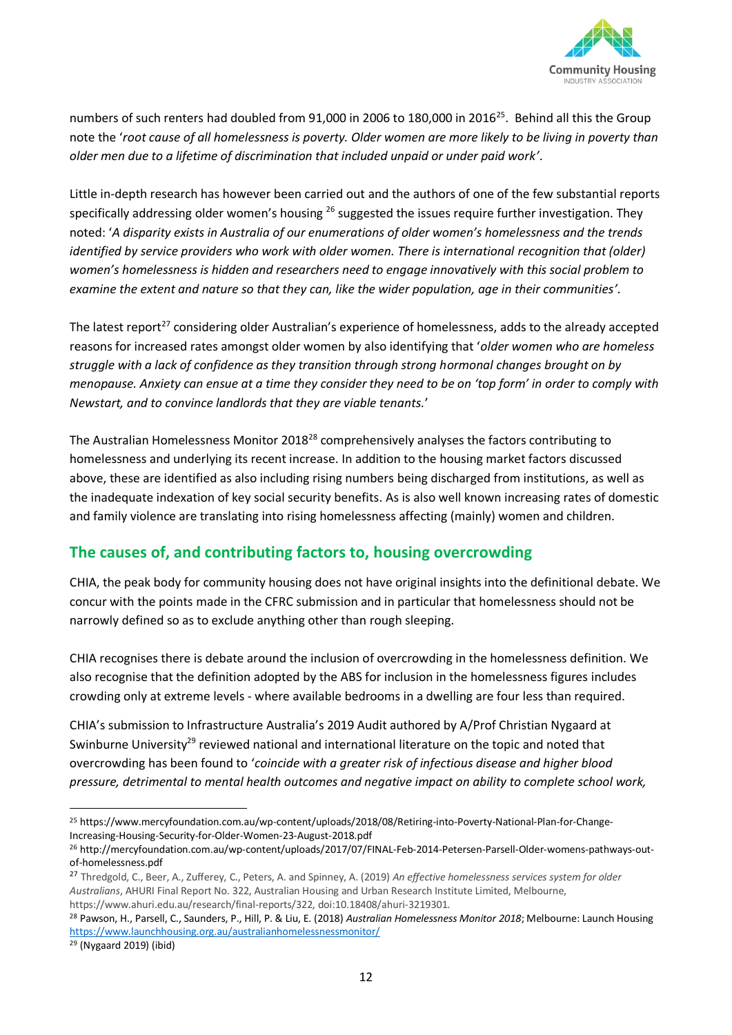

numbers of such renters had doubled from 91,000 in 2006 to 180,000 in 2016<sup>25</sup>. Behind all this the Group note the '*root cause of all homelessness is poverty. Older women are more likely to be living in poverty than older men due to a lifetime of discrimination that included unpaid or under paid work'*.

Little in-depth research has however been carried out and the authors of one of the few substantial reports specifically addressing older women's housing  $^{26}$  suggested the issues require further investigation. They noted: '*A disparity exists in Australia of our enumerations of older women's homelessness and the trends identified by service providers who work with older women. There is international recognition that (older) women's homelessness is hidden and researchers need to engage innovatively with this social problem to examine the extent and nature so that they can, like the wider population, age in their communities'.*

The latest report<sup>27</sup> considering older Australian's experience of homelessness, adds to the already accepted reasons for increased rates amongst older women by also identifying that '*older women who are homeless struggle with a lack of confidence as they transition through strong hormonal changes brought on by menopause. Anxiety can ensue at a time they consider they need to be on 'top form' in order to comply with Newstart, and to convince landlords that they are viable tenants.*'

The Australian Homelessness Monitor 2018<sup>28</sup> comprehensively analyses the factors contributing to homelessness and underlying its recent increase. In addition to the housing market factors discussed above, these are identified as also including rising numbers being discharged from institutions, as well as the inadequate indexation of key social security benefits. As is also well known increasing rates of domestic and family violence are translating into rising homelessness affecting (mainly) women and children.

## **The causes of, and contributing factors to, housing overcrowding**

CHIA, the peak body for community housing does not have original insights into the definitional debate. We concur with the points made in the CFRC submission and in particular that homelessness should not be narrowly defined so as to exclude anything other than rough sleeping.

CHIA recognises there is debate around the inclusion of overcrowding in the homelessness definition. We also recognise that the definition adopted by the ABS for inclusion in the homelessness figures includes crowding only at extreme levels - where available bedrooms in a dwelling are four less than required.

CHIA's submission to Infrastructure Australia's 2019 Audit authored by A/Prof Christian Nygaard at Swinburne University<sup>29</sup> reviewed national and international literature on the topic and noted that overcrowding has been found to '*coincide with a greater risk of infectious disease and higher blood pressure, detrimental to mental health outcomes and negative impact on ability to complete school work,* 

<sup>25</sup> https://www.mercyfoundation.com.au/wp-content/uploads/2018/08/Retiring-into-Poverty-National-Plan-for-Change-Increasing-Housing-Security-for-Older-Women-23-August-2018.pdf

<sup>26</sup> http://mercyfoundation.com.au/wp-content/uploads/2017/07/FINAL-Feb-2014-Petersen-Parsell-Older-womens-pathways-outof-homelessness.pdf

<sup>27</sup> Thredgold, C., Beer, A., Zufferey, C., Peters, A. and Spinney, A. (2019) *An effective homelessness services system for older Australians*, AHURI Final Report No. 322, Australian Housing and Urban Research Institute Limited, Melbourne, https://www.ahuri.edu.au/research/final-reports/322, doi:10.18408/ahuri-3219301.

<sup>28</sup> Pawson, H., Parsell, C., Saunders, P., Hill, P. & Liu, E. (2018) *Australian Homelessness Monitor 2018*; Melbourne: Launch Housing <https://www.launchhousing.org.au/australianhomelessnessmonitor/>

<sup>29</sup> (Nygaard 2019) (ibid)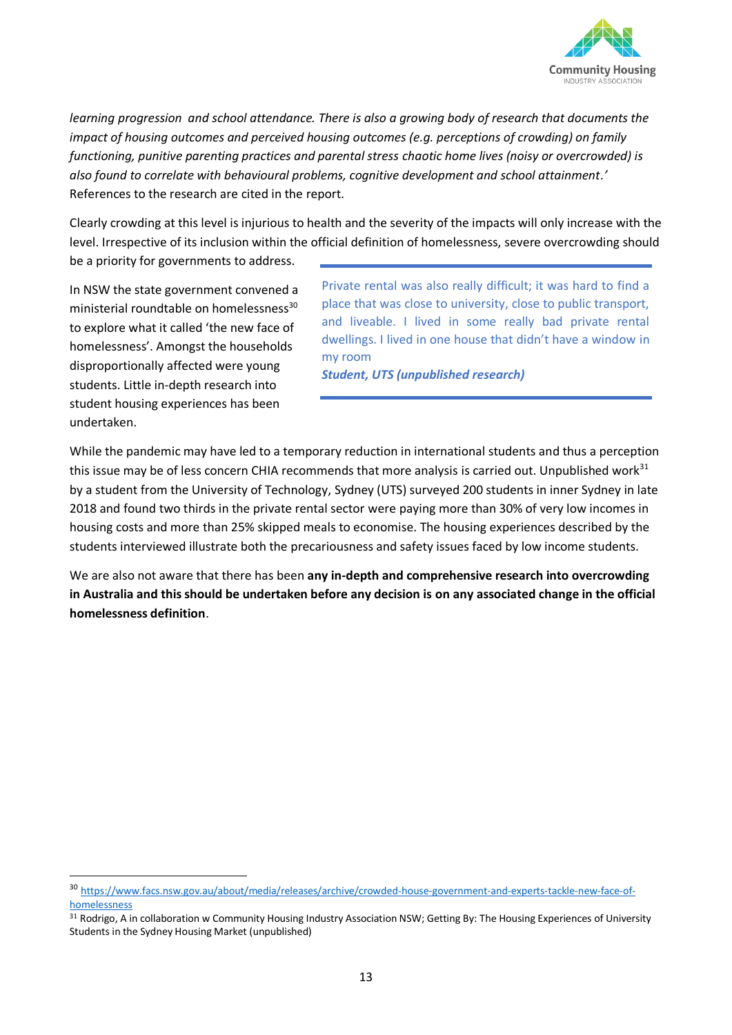

*learning progression and school attendance. There is also a growing body of research that documents the impact of housing outcomes and perceived housing outcomes (e.g. perceptions of crowding) on family functioning, punitive parenting practices and parental stress chaotic home lives (noisy or overcrowded) is also found to correlate with behavioural problems, cognitive development and school attainment.'*  References to the research are cited in the report.

Clearly crowding at this level is injurious to health and the severity of the impacts will only increase with the level. Irrespective of its inclusion within the official definition of homelessness, severe overcrowding should

be a priority for governments to address.

In NSW the state government convened a ministerial roundtable on homelessness<sup>30</sup> to explore what it called 'the new face of homelessness'. Amongst the households disproportionally affected were young students. Little in-depth research into student housing experiences has been undertaken.

Private rental was also really difficult; it was hard to find a place that was close to university, close to public transport, and liveable. I lived in some really bad private rental dwellings. I lived in one house that didn't have a window in my room

*Student, UTS (unpublished research)* 

While the pandemic may have led to a temporary reduction in international students and thus a perception this issue may be of less concern CHIA recommends that more analysis is carried out. Unpublished work $31$ by a student from the University of Technology, Sydney (UTS) surveyed 200 students in inner Sydney in late 2018 and found two thirds in the private rental sector were paying more than 30% of very low incomes in housing costs and more than 25% skipped meals to economise. The housing experiences described by the students interviewed illustrate both the precariousness and safety issues faced by low income students.

We are also not aware that there has been **any in-depth and comprehensive research into overcrowding in Australia and this should be undertaken before any decision is on any associated change in the official homelessness definition**.

<sup>30</sup> [https://www.facs.nsw.gov.au/about/media/releases/archive/crowded-house-government-and-experts-tackle-new-face-of](https://www.facs.nsw.gov.au/about/media/releases/archive/crowded-house-government-and-experts-tackle-new-face-of-homelessness)[homelessness](https://www.facs.nsw.gov.au/about/media/releases/archive/crowded-house-government-and-experts-tackle-new-face-of-homelessness)

<sup>31</sup> Rodrigo, A in collaboration w Community Housing Industry Association NSW; Getting By: The Housing Experiences of University Students in the Sydney Housing Market (unpublished)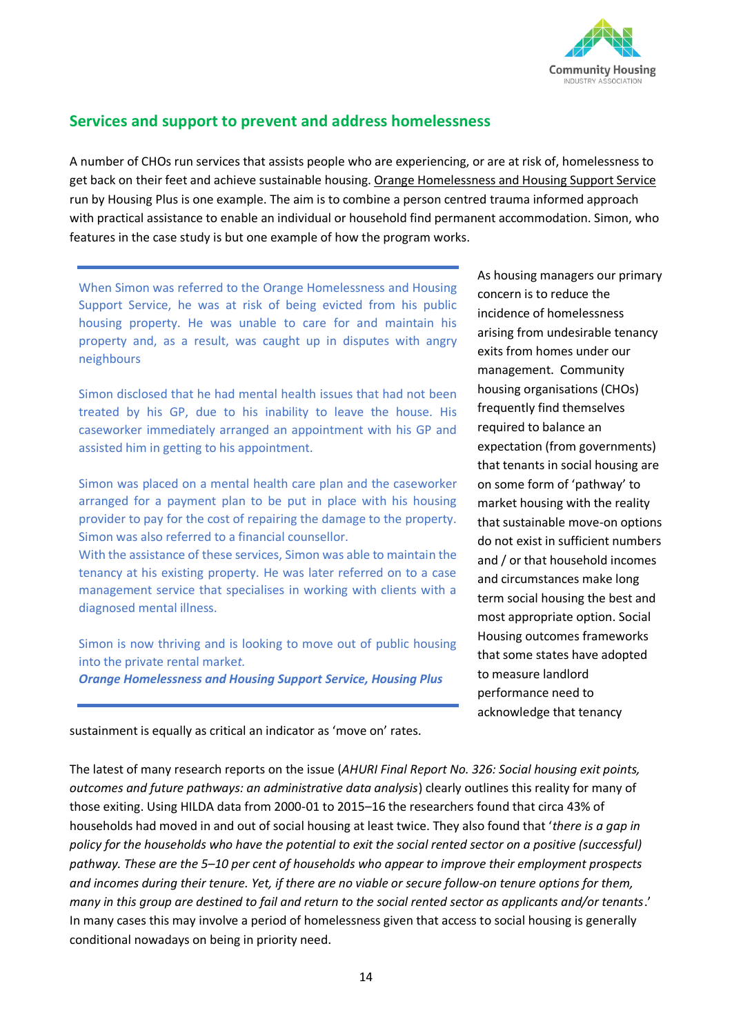

## **Services and support to prevent and address homelessness**

A number of CHOs run services that assists people who are experiencing, or are at risk of, homelessness to get back on their feet and achieve sustainable housing. [Orange Homelessness and Housing Support Service](http://www.housingplus.com.au/homelessness/) run by Housing Plus is one example. The aim is to combine a person centred trauma informed approach with practical assistance to enable an individual or household find permanent accommodation. Simon, who features in the case study is but one example of how the program works.

When Simon was referred to the Orange Homelessness and Housing Support Service, he was at risk of being evicted from his public housing property. He was unable to care for and maintain his property and, as a result, was caught up in disputes with angry neighbours

Simon disclosed that he had mental health issues that had not been treated by his GP, due to his inability to leave the house. His caseworker immediately arranged an appointment with his GP and assisted him in getting to his appointment.

Simon was placed on a mental health care plan and the caseworker arranged for a payment plan to be put in place with his housing provider to pay for the cost of repairing the damage to the property. Simon was also referred to a financial counsellor.

With the assistance of these services, Simon was able to maintain the tenancy at his existing property. He was later referred on to a case management service that specialises in working with clients with a diagnosed mental illness.

Simon is now thriving and is looking to move out of public housing into the private rental marke*t. Orange Homelessness and Housing Support Service, Housing Plus*

As housing managers our primary concern is to reduce the incidence of homelessness arising from undesirable tenancy exits from homes under our management. Community housing organisations (CHOs) frequently find themselves required to balance an expectation (from governments) that tenants in social housing are on some form of 'pathway' to market housing with the reality that sustainable move-on options do not exist in sufficient numbers and / or that household incomes and circumstances make long term social housing the best and most appropriate option. Social Housing outcomes frameworks that some states have adopted to measure landlord performance need to acknowledge that tenancy

sustainment is equally as critical an indicator as 'move on' rates.

The latest of many research reports on the issue (*AHURI Final Report No. 326: Social housing exit points, outcomes and future pathways: an administrative data analysis*) clearly outlines this reality for many of those exiting. Using HILDA data from 2000-01 to 2015–16 the researchers found that circa 43% of households had moved in and out of social housing at least twice. They also found that '*there is a gap in policy for the households who have the potential to exit the social rented sector on a positive (successful) pathway. These are the 5–10 per cent of households who appear to improve their employment prospects and incomes during their tenure. Yet, if there are no viable or secure follow-on tenure options for them, many in this group are destined to fail and return to the social rented sector as applicants and/or tenants*.' In many cases this may involve a period of homelessness given that access to social housing is generally conditional nowadays on being in priority need.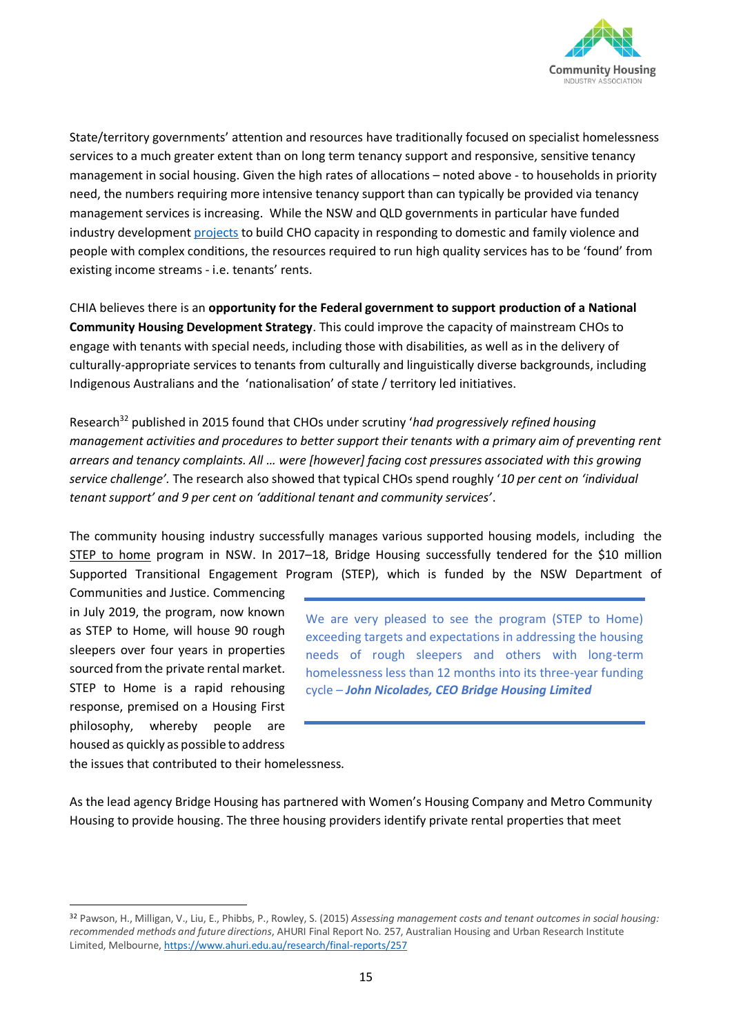

State/territory governments' attention and resources have traditionally focused on specialist homelessness services to a much greater extent than on long term tenancy support and responsive, sensitive tenancy management in social housing. Given the high rates of allocations – noted above - to households in priority need, the numbers requiring more intensive tenancy support than can typically be provided via tenancy management services is increasing. While the NSW and QLD governments in particular have funded industry development [projects](http://nswfha.wpengine.com/information/resources/creating-sustainable-tenancies-for-tenants-with-complex-needs/) to build CHO capacity in responding to domestic and family violence and people with complex conditions, the resources required to run high quality services has to be 'found' from existing income streams - i.e. tenants' rents.

CHIA believes there is an **opportunity for the Federal government to support production of a National Community Housing Development Strategy**. This could improve the capacity of mainstream CHOs to engage with tenants with special needs, including those with disabilities, as well as in the delivery of culturally-appropriate services to tenants from culturally and linguistically diverse backgrounds, including Indigenous Australians and the 'nationalisation' of state / territory led initiatives.

Research<sup>32</sup> published in 2015 found that CHOs under scrutiny 'had progressively refined housing *management activities and procedures to better support their tenants with a primary aim of preventing rent arrears and tenancy complaints. All … were [however] facing cost pressures associated with this growing service challenge'.* The research also showed that typical CHOs spend roughly '*10 per cent on 'individual tenant support' and 9 per cent on 'additional tenant and community services'*.

The community housing industry successfully manages various supported housing models, including the [STEP to home](https://bridgehousing.org.au/about-us/service-innovation/step-to-home) program in NSW. In 2017–18, Bridge Housing successfully tendered for the \$10 million Supported Transitional Engagement Program (STEP), which is funded by the NSW Department of

Communities and Justice. Commencing in July 2019, the program, now known as STEP to Home, will house 90 rough sleepers over four years in properties sourced from the private rental market. STEP to Home is a rapid rehousing response, premised on a Housing First philosophy, whereby people are housed as quickly as possible to address

We are very pleased to see the program (STEP to Home) exceeding targets and expectations in addressing the housing needs of rough sleepers and others with long-term homelessness less than 12 months into its three-year funding cycle *– John Nicolades, CEO Bridge Housing Limited* 

the issues that contributed to their homelessness.

As the lead agency Bridge Housing has partnered with Women's Housing Company and Metro Community Housing to provide housing. The three housing providers identify private rental properties that meet

<sup>32</sup> Pawson, H., Milligan, V., Liu, E., Phibbs, P., Rowley, S. (2015) *Assessing management costs and tenant outcomes in social housing: recommended methods and future directions*, AHURI Final Report No. 257, Australian Housing and Urban Research Institute Limited, Melbourne[, https://www.ahuri.edu.au/research/final-reports/257](https://www.ahuri.edu.au/research/final-reports/257)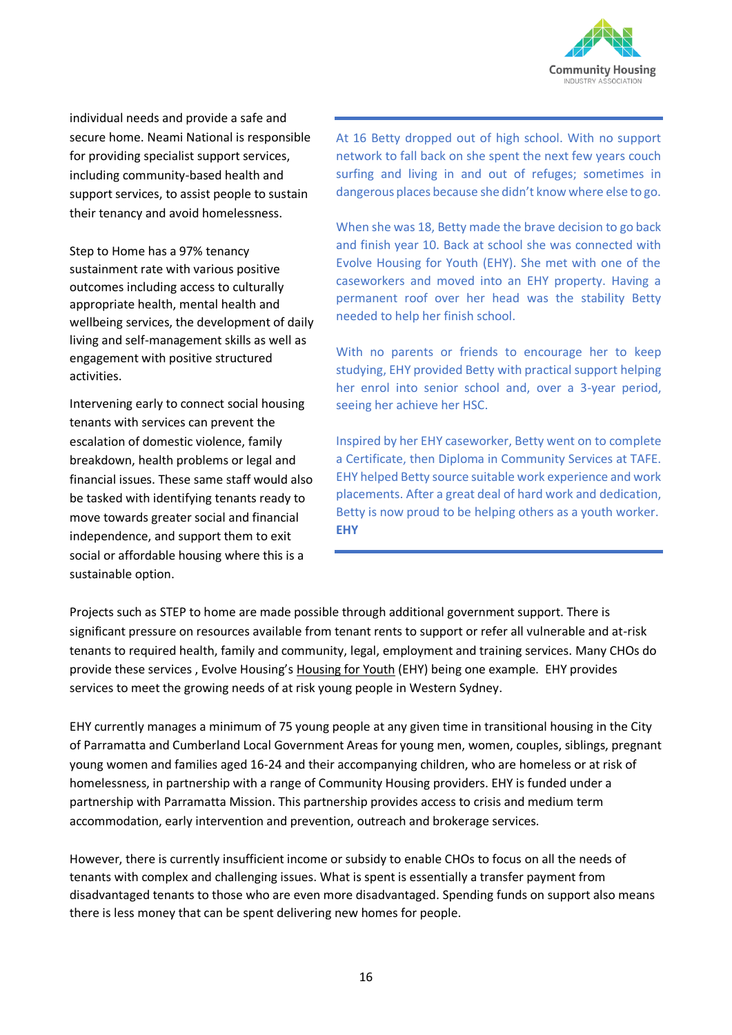

individual needs and provide a safe and secure home. Neami National is responsible for providing specialist support services, including community-based health and support services, to assist people to sustain their tenancy and avoid homelessness.

Step to Home has a 97% tenancy sustainment rate with various positive outcomes including access to culturally appropriate health, mental health and wellbeing services, the development of daily living and self-management skills as well as engagement with positive structured activities.

Intervening early to connect social housing tenants with services can prevent the escalation of domestic violence, family breakdown, health problems or legal and financial issues. These same staff would also be tasked with identifying tenants ready to move towards greater social and financial independence, and support them to exit social or affordable housing where this is a sustainable option.

At 16 Betty dropped out of high school. With no support network to fall back on she spent the next few years couch surfing and living in and out of refuges; sometimes in dangerous places because she didn't know where else to go.

When she was 18, Betty made the brave decision to go back and finish year 10. Back at school she was connected with Evolve Housing for Youth (EHY). She met with one of the caseworkers and moved into an EHY property. Having a permanent roof over her head was the stability Betty needed to help her finish school.

With no parents or friends to encourage her to keep studying, EHY provided Betty with practical support helping her enrol into senior school and, over a 3-year period, seeing her achieve her HSC.

Inspired by her EHY caseworker, Betty went on to complete a Certificate, then Diploma in Community Services at TAFE. EHY helped Betty source suitable work experience and work placements. After a great deal of hard work and dedication, Betty is now proud to be helping others as a youth worker. **EHY**

Projects such as STEP to home are made possible through additional government support. There is significant pressure on resources available from tenant rents to support or refer all vulnerable and at-risk tenants to required health, family and community, legal, employment and training services. Many CHOs do provide these services , Evolve Housing's [Housing for Youth](https://evolvehousingforyouth.com.au/) (EHY) being one example. EHY provides services to meet the growing needs of at risk young people in Western Sydney.

EHY currently manages a minimum of 75 young people at any given time in transitional housing in the City of Parramatta and Cumberland Local Government Areas for young men, women, couples, siblings, pregnant young women and families aged 16-24 and their accompanying children, who are homeless or at risk of homelessness, in partnership with a range of Community Housing providers. EHY is funded under a partnership with Parramatta Mission. This partnership provides access to crisis and medium term accommodation, early intervention and prevention, outreach and brokerage services.

However, there is currently insufficient income or subsidy to enable CHOs to focus on all the needs of tenants with complex and challenging issues. What is spent is essentially a transfer payment from disadvantaged tenants to those who are even more disadvantaged. Spending funds on support also means there is less money that can be spent delivering new homes for people.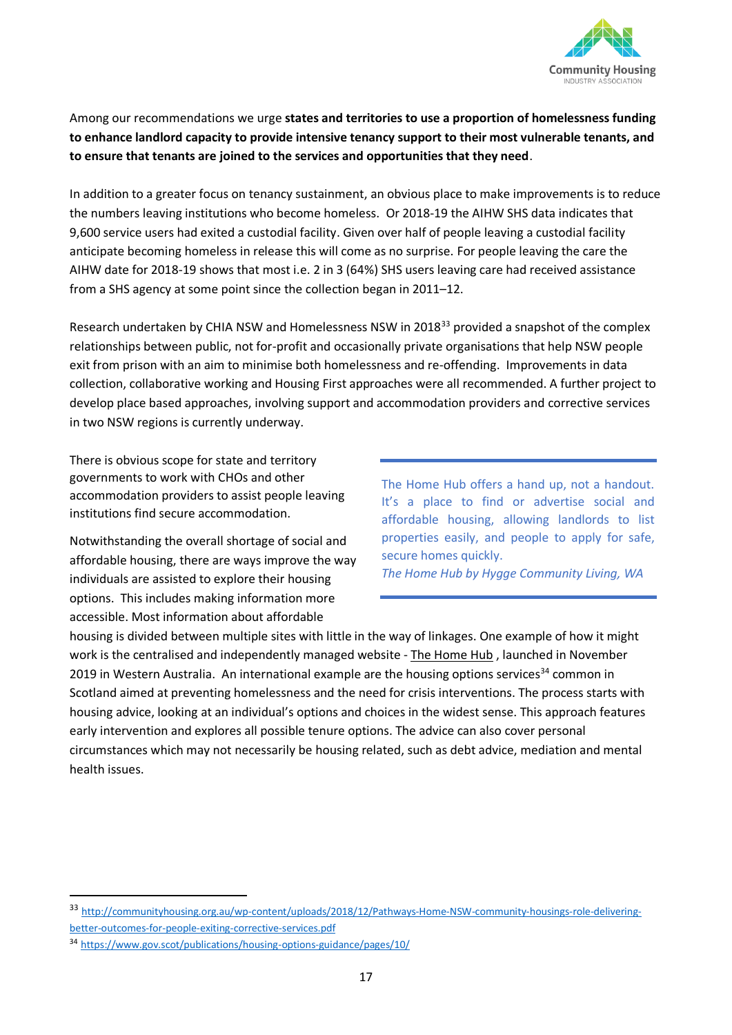

Among our recommendations we urge **states and territories to use a proportion of homelessness funding to enhance landlord capacity to provide intensive tenancy support to their most vulnerable tenants, and to ensure that tenants are joined to the services and opportunities that they need**.

In addition to a greater focus on tenancy sustainment, an obvious place to make improvements is to reduce the numbers leaving institutions who become homeless. Or 2018-19 the AIHW SHS data indicates that 9,600 service users had exited a custodial facility. Given over half of people leaving a custodial facility anticipate becoming homeless in release this will come as no surprise. For people leaving the care the AIHW date for 2018-19 shows that most i.e. 2 in 3 (64%) SHS users leaving care had received assistance from a SHS agency at some point since the collection began in 2011–12.

Research undertaken by CHIA NSW and Homelessness NSW in 2018<sup>33</sup> provided a snapshot of the complex relationships between public, not for-profit and occasionally private organisations that help NSW people exit from prison with an aim to minimise both homelessness and re-offending. Improvements in data collection, collaborative working and Housing First approaches were all recommended. A further project to develop place based approaches, involving support and accommodation providers and corrective services in two NSW regions is currently underway.

There is obvious scope for state and territory governments to work with CHOs and other accommodation providers to assist people leaving institutions find secure accommodation.

Notwithstanding the overall shortage of social and affordable housing, there are ways improve the way individuals are assisted to explore their housing options. This includes making information more accessible. Most information about affordable

The Home Hub offers a hand up, not a handout. It's a place to find or advertise social and affordable housing, allowing landlords to list properties easily, and people to apply for safe, secure homes quickly. *The Home Hub by Hygge Community Living, WA*

housing is divided between multiple sites with little in the way of linkages. One example of how it might work is the centralised and independently managed website - [The Home Hub](https://www.homehub.org.au/home-hub-launches-october-2019/) , launched in November 2019 in Western Australia. An international example are the housing options services<sup>34</sup> common in Scotland aimed at preventing homelessness and the need for crisis interventions. The process starts with housing advice, looking at an individual's options and choices in the widest sense. This approach features early intervention and explores all possible tenure options. The advice can also cover personal circumstances which may not necessarily be housing related, such as debt advice, mediation and mental health issues.

<sup>33</sup> [http://communityhousing.org.au/wp-content/uploads/2018/12/Pathways-Home-NSW-community-housings-role-delivering](http://communityhousing.org.au/wp-content/uploads/2018/12/Pathways-Home-NSW-community-housings-role-delivering-better-outcomes-for-people-exiting-corrective-services.pdf)[better-outcomes-for-people-exiting-corrective-services.pdf](http://communityhousing.org.au/wp-content/uploads/2018/12/Pathways-Home-NSW-community-housings-role-delivering-better-outcomes-for-people-exiting-corrective-services.pdf)

<sup>34</sup> <https://www.gov.scot/publications/housing-options-guidance/pages/10/>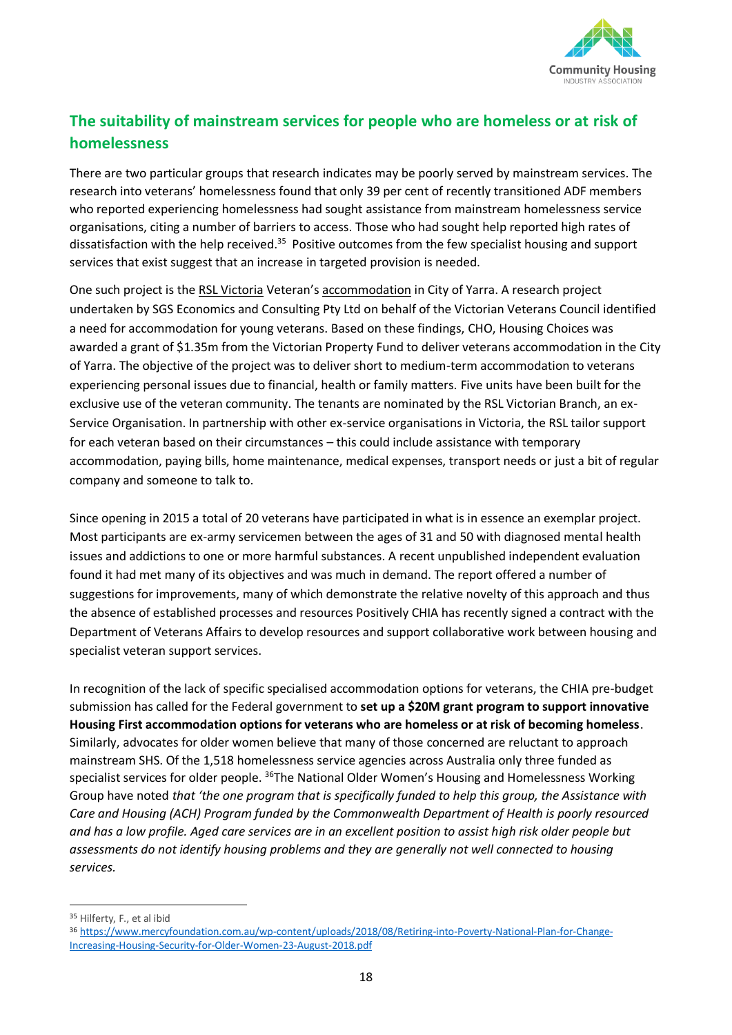

# **The suitability of mainstream services for people who are homeless or at risk of homelessness**

There are two particular groups that research indicates may be poorly served by mainstream services. The research into veterans' homelessness found that only 39 per cent of recently transitioned ADF members who reported experiencing homelessness had sought assistance from mainstream homelessness service organisations, citing a number of barriers to access. Those who had sought help reported high rates of dissatisfaction with the help received.<sup>35</sup> Positive outcomes from the few specialist housing and support services that exist suggest that an increase in targeted provision is needed.

One such project is the [RSL Victoria](http://www.rslvic.com.au/) Veteran's [accommodation](http://www.housingchoices.org.au/partners/support-service/) in City of Yarra. A research project undertaken by SGS Economics and Consulting Pty Ltd on behalf of the Victorian Veterans Council identified a need for accommodation for young veterans. Based on these findings, CHO, Housing Choices was awarded a grant of \$1.35m from the Victorian Property Fund to deliver veterans accommodation in the City of Yarra. The objective of the project was to deliver short to medium-term accommodation to veterans experiencing personal issues due to financial, health or family matters. Five units have been built for the exclusive use of the veteran community. The tenants are nominated by the RSL Victorian Branch, an ex-Service Organisation. In partnership with other ex-service organisations in Victoria, the RSL tailor support for each veteran based on their circumstances – this could include assistance with temporary accommodation, paying bills, home maintenance, medical expenses, transport needs or just a bit of regular company and someone to talk to.

Since opening in 2015 a total of 20 veterans have participated in what is in essence an exemplar project. Most participants are ex-army servicemen between the ages of 31 and 50 with diagnosed mental health issues and addictions to one or more harmful substances. A recent unpublished independent evaluation found it had met many of its objectives and was much in demand. The report offered a number of suggestions for improvements, many of which demonstrate the relative novelty of this approach and thus the absence of established processes and resources Positively CHIA has recently signed a contract with the Department of Veterans Affairs to develop resources and support collaborative work between housing and specialist veteran support services.

In recognition of the lack of specific specialised accommodation options for veterans, the CHIA pre-budget submission has called for the Federal government to **set up a \$20M grant program to support innovative Housing First accommodation options for veterans who are homeless or at risk of becoming homeless**. Similarly, advocates for older women believe that many of those concerned are reluctant to approach mainstream SHS. Of the 1,518 homelessness service agencies across Australia only three funded as specialist services for older people. <sup>36</sup>The National Older Women's Housing and Homelessness Working Group have noted *that 'the one program that is specifically funded to help this group, the Assistance with Care and Housing (ACH) Program funded by the Commonwealth Department of Health is poorly resourced and has a low profile. Aged care services are in an excellent position to assist high risk older people but assessments do not identify housing problems and they are generally not well connected to housing services.*

<sup>35</sup> Hilferty, F., et al ibid

<sup>36</sup> [https://www.mercyfoundation.com.au/wp-content/uploads/2018/08/Retiring-into-Poverty-National-Plan-for-Change-](https://www.mercyfoundation.com.au/wp-content/uploads/2018/08/Retiring-into-Poverty-National-Plan-for-Change-Increasing-Housing-Security-for-Older-Women-23-August-2018.pdf)[Increasing-Housing-Security-for-Older-Women-23-August-2018.pdf](https://www.mercyfoundation.com.au/wp-content/uploads/2018/08/Retiring-into-Poverty-National-Plan-for-Change-Increasing-Housing-Security-for-Older-Women-23-August-2018.pdf)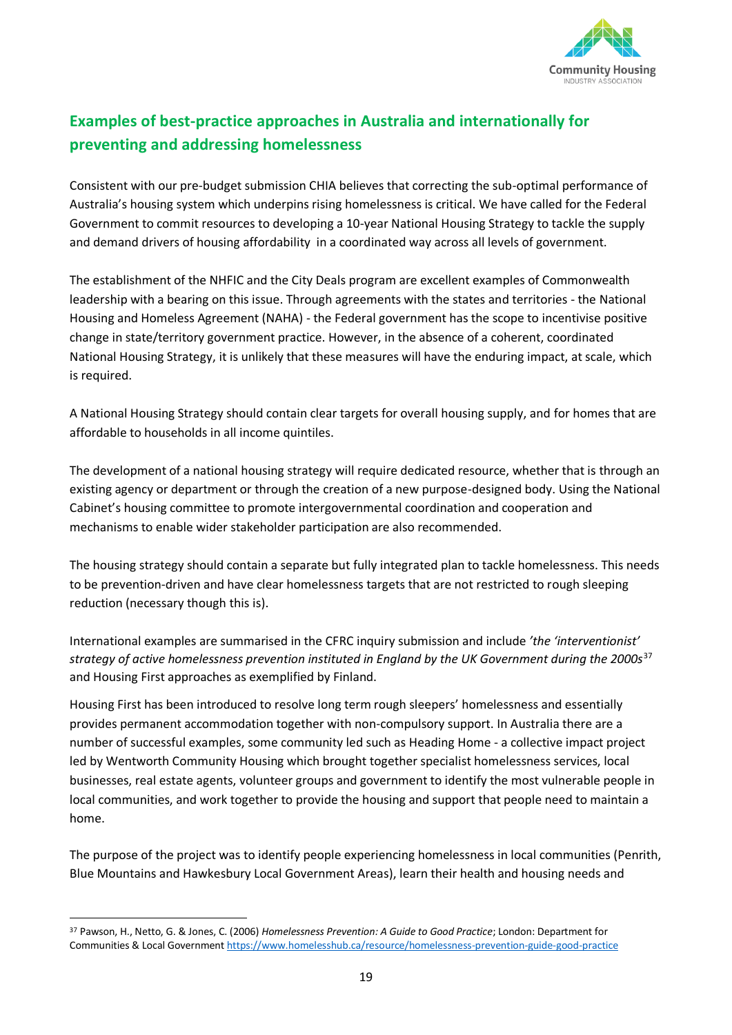

# **Examples of best-practice approaches in Australia and internationally for preventing and addressing homelessness**

Consistent with our pre-budget submission CHIA believes that correcting the sub-optimal performance of Australia's housing system which underpins rising homelessness is critical. We have called for the Federal Government to commit resources to developing a 10-year National Housing Strategy to tackle the supply and demand drivers of housing affordability in a coordinated way across all levels of government.

The establishment of the NHFIC and the City Deals program are excellent examples of Commonwealth leadership with a bearing on this issue. Through agreements with the states and territories - the National Housing and Homeless Agreement (NAHA) - the Federal government has the scope to incentivise positive change in state/territory government practice. However, in the absence of a coherent, coordinated National Housing Strategy, it is unlikely that these measures will have the enduring impact, at scale, which is required.

A National Housing Strategy should contain clear targets for overall housing supply, and for homes that are affordable to households in all income quintiles.

The development of a national housing strategy will require dedicated resource, whether that is through an existing agency or department or through the creation of a new purpose-designed body. Using the National Cabinet's housing committee to promote intergovernmental coordination and cooperation and mechanisms to enable wider stakeholder participation are also recommended.

The housing strategy should contain a separate but fully integrated plan to tackle homelessness. This needs to be prevention-driven and have clear homelessness targets that are not restricted to rough sleeping reduction (necessary though this is).

International examples are summarised in the CFRC inquiry submission and include *'the 'interventionist' strategy of active homelessness prevention instituted in England by the UK Government during the 2000s*<sup>37</sup> and Housing First approaches as exemplified by Finland.

Housing First has been introduced to resolve long term rough sleepers' homelessness and essentially provides permanent accommodation together with non-compulsory support. In Australia there are a number of successful examples, some community led such as Heading Home - a collective impact project led by Wentworth Community Housing which brought together specialist homelessness services, local businesses, real estate agents, volunteer groups and government to identify the most vulnerable people in local communities, and work together to provide the housing and support that people need to maintain a home.

The purpose of the project was to identify people experiencing homelessness in local communities (Penrith, Blue Mountains and Hawkesbury Local Government Areas), learn their health and housing needs and

<sup>37</sup> Pawson, H., Netto, G. & Jones, C. (2006) *Homelessness Prevention: A Guide to Good Practice*; London: Department for Communities & Local Governmen[t https://www.homelesshub.ca/resource/homelessness-prevention-guide-good-practice](https://www.homelesshub.ca/resource/homelessness-prevention-guide-good-practice)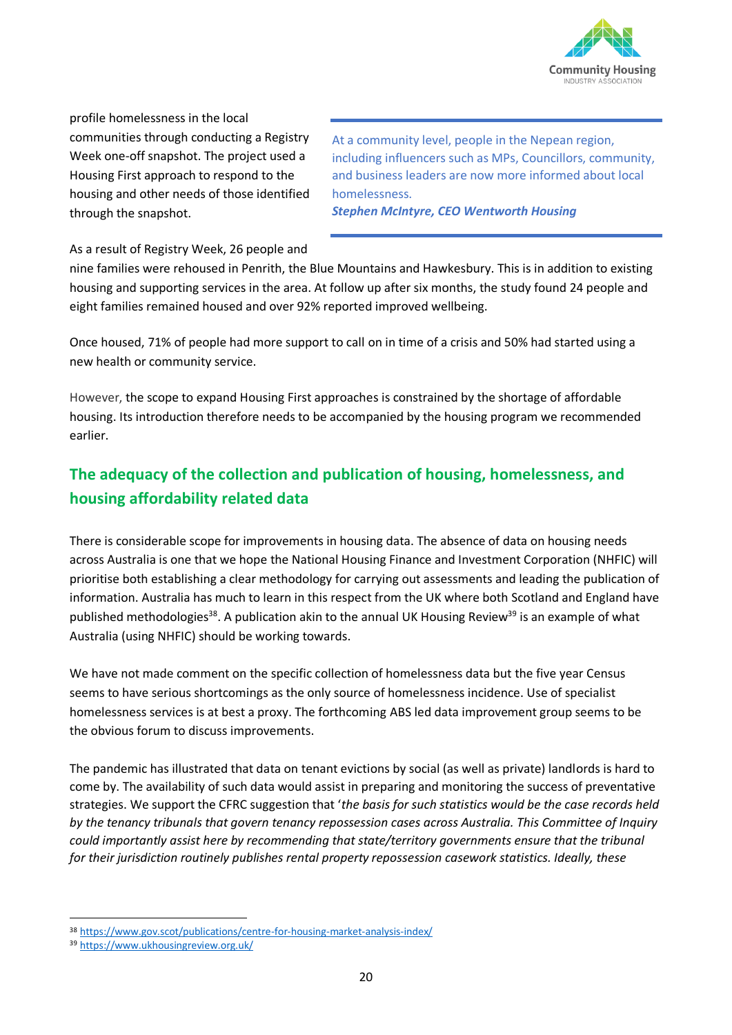

profile homelessness in the local communities through conducting a Registry Week one-off snapshot. The project used a Housing First approach to respond to the housing and other needs of those identified through the snapshot.

At a community level, people in the Nepean region, including influencers such as MPs, Councillors, community, and business leaders are now more informed about local homelessness. *Stephen McIntyre, CEO Wentworth Housing*

As a result of Registry Week, 26 people and

nine families were rehoused in Penrith, the Blue Mountains and Hawkesbury. This is in addition to existing housing and supporting services in the area. At follow up after six months, the study found 24 people and eight families remained housed and over 92% reported improved wellbeing.

Once housed, 71% of people had more support to call on in time of a crisis and 50% had started using a new health or community service.

However, the scope to expand Housing First approaches is constrained by the shortage of affordable housing. Its introduction therefore needs to be accompanied by the housing program we recommended earlier.

# **The adequacy of the collection and publication of housing, homelessness, and housing affordability related data**

There is considerable scope for improvements in housing data. The absence of data on housing needs across Australia is one that we hope the National Housing Finance and Investment Corporation (NHFIC) will prioritise both establishing a clear methodology for carrying out assessments and leading the publication of information. Australia has much to learn in this respect from the UK where both Scotland and England have published methodologies<sup>38</sup>. A publication akin to the annual UK Housing Review<sup>39</sup> is an example of what Australia (using NHFIC) should be working towards.

We have not made comment on the specific collection of homelessness data but the five year Census seems to have serious shortcomings as the only source of homelessness incidence. Use of specialist homelessness services is at best a proxy. The forthcoming ABS led data improvement group seems to be the obvious forum to discuss improvements.

The pandemic has illustrated that data on tenant evictions by social (as well as private) landlords is hard to come by. The availability of such data would assist in preparing and monitoring the success of preventative strategies. We support the CFRC suggestion that '*the basis for such statistics would be the case records held by the tenancy tribunals that govern tenancy repossession cases across Australia. This Committee of Inquiry could importantly assist here by recommending that state/territory governments ensure that the tribunal for their jurisdiction routinely publishes rental property repossession casework statistics. Ideally, these* 

<sup>38</sup> <https://www.gov.scot/publications/centre-for-housing-market-analysis-index/>

<sup>39</sup> <https://www.ukhousingreview.org.uk/>